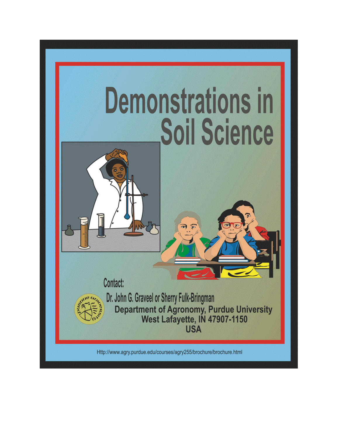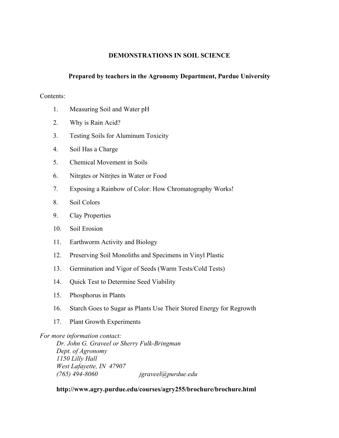### **DEMONSTRATIONS IN SOIL SCIENCE**

## **Prepared by teachers in the Agronomy Department, Purdue University**

#### Contents:

- 1. Measuring Soil and Water pH
- 2. Why is Rain Acid?
- 3. Testing Soils for Aluminum Toxicity
- 4. Soil Has a Charge
- 5. Chemical Movement in Soils
- 6. Nitrates or Nitrites in Water or Food
- 7. Exposing a Rainbow of Color: How Chromatography Works!
- 8. Soil Colors
- 9. Clay Properties
- 10. Soil Erosion
- 11. Earthworm Activity and Biology
- 12. Preserving Soil Monoliths and Specimens in Vinyl Plastic
- 13. Germination and Vigor of Seeds (Warm Tests/Cold Tests)
- 14. Quick Test to Determine Seed Viability
- 15. Phosphorus in Plants
- 16. Starch Goes to Sugar as Plants Use Their Stored Energy for Regrowth
- 17. Plant Growth Experiments

### *For more information contact:*

 *Dr. John G. Graveel or Sherry Fulk-Bringman Dept. of Agronomy 1150 Lilly Hall West Lafayette, IN 47907 (765) 494-8060 jgraveel@purdue.edu* 

### **http://www.agry.purdue.edu/courses/agry255/brochure/brochure.html**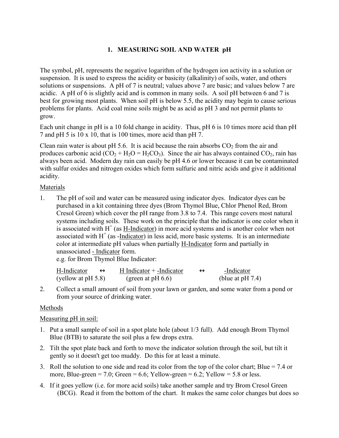# **1. MEASURING SOIL AND WATER pH**

The symbol, pH, represents the negative logarithm of the hydrogen ion activity in a solution or suspension. It is used to express the acidity or basicity (alkalinity) of soils, water, and others solutions or suspensions. A pH of 7 is neutral; values above 7 are basic; and values below 7 are acidic. A pH of 6 is slightly acid and is common in many soils. A soil pH between 6 and 7 is best for growing most plants. When soil pH is below 5.5, the acidity may begin to cause serious problems for plants. Acid coal mine soils might be as acid as pH 3 and not permit plants to grow.

Each unit change in pH is a 10 fold change in acidity. Thus, pH 6 is 10 times more acid than pH 7 and pH 5 is 10 x 10, that is 100 times, more acid than pH 7.

Clean rain water is about pH 5.6. It is acid because the rain absorbs  $CO<sub>2</sub>$  from the air and produces carbonic acid  $(CO_2 + H_2O = H_2CO_3)$ . Since the air has always contained  $CO_2$ , rain has always been acid. Modern day rain can easily be pH 4.6 or lower because it can be contaminated with sulfur oxides and nitrogen oxides which form sulfuric and nitric acids and give it additional acidity.

# Materials

1. The pH of soil and water can be measured using indicator dyes. Indicator dyes can be purchased in a kit containing three dyes (Brom Thymol Blue, Chlor Phenol Red, Brom Cresol Green) which cover the pH range from 3.8 to 7.4. This range covers most natural systems including soils. These work on the principle that the indicator is one color when it is associated with  $H^+$  (as  $H$ -Indicator) in more acid systems and is another color when not associated with H<sup>+</sup> (as -Indicator) in less acid, more basic systems. It is an intermediate color at intermediate pH values when partially H-Indicator form and partially in unassociated - Indicator form.

e.g. for Brom Thymol Blue Indicator:

| H-Indicator           | $H$ Indicator $+$ -Indicator | -Indicator          |
|-----------------------|------------------------------|---------------------|
| (yellow at $pH 5.8$ ) | (green at $pH(6.6)$ )        | (blue at $pH 7.4$ ) |

2. Collect a small amount of soil from your lawn or garden, and some water from a pond or from your source of drinking water.

# Methods

# Measuring pH in soil:

- 1. Put a small sample of soil in a spot plate hole (about 1/3 full). Add enough Brom Thymol Blue (BTB) to saturate the soil plus a few drops extra.
- 2. Tilt the spot plate back and forth to move the indicator solution through the soil, but tilt it gently so it doesn't get too muddy. Do this for at least a minute.
- 3. Roll the solution to one side and read its color from the top of the color chart; Blue = 7.4 or more, Blue-green = 7.0; Green = 6.6; Yellow-green = 6.2; Yellow = 5.8 or less.
- 4. If it goes yellow (i.e. for more acid soils) take another sample and try Brom Cresol Green (BCG). Read it from the bottom of the chart. It makes the same color changes but does so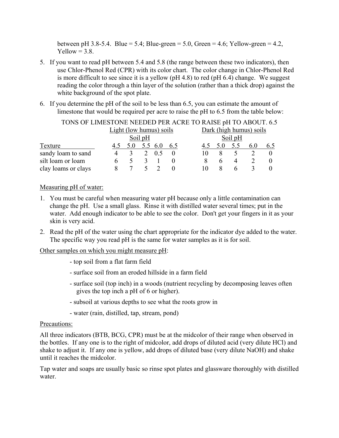between pH 3.8-5.4. Blue = 5.4; Blue-green = 5.0, Green = 4.6; Yellow-green = 4.2,  $Yellow = 3.8.$ 

- 5. If you want to read pH between 5.4 and 5.8 (the range between these two indicators), then use Chlor-Phenol Red (CPR) with its color chart. The color change in Chlor-Phenol Red is more difficult to see since it is a yellow (pH 4.8) to red (pH 6.4) change. We suggest reading the color through a thin layer of the solution (rather than a thick drop) against the white background of the spot plate.
- 6. If you determine the pH of the soil to be less than 6.5, you can estimate the amount of limestone that would be required per acre to raise the pH to 6.5 from the table below:

| TONS OF LIMESTONE NEEDED PER ACRE TO RAISE pH TO ABOUT. 6.5 |                         |     |  |                |     |                         |  |         |     |     |     |
|-------------------------------------------------------------|-------------------------|-----|--|----------------|-----|-------------------------|--|---------|-----|-----|-----|
|                                                             | Light (low humus) soils |     |  |                |     | Dark (high humus) soils |  |         |     |     |     |
|                                                             | Soil pH                 |     |  |                |     |                         |  | Soil pH |     |     |     |
| Texture                                                     |                         | 5.0 |  | 5.5 6.0        | 6.5 |                         |  | 5.0     | 5.5 | 6.0 | 6.5 |
| sandy loam to sand                                          |                         |     |  | 0 <sub>5</sub> |     |                         |  |         |     |     |     |
| silt loam or loam                                           |                         |     |  |                |     |                         |  |         |     |     |     |
| clay loams or clays                                         |                         |     |  |                |     |                         |  |         |     |     |     |

#### Measuring pH of water:

- 1. You must be careful when measuring water pH because only a little contamination can change the pH. Use a small glass. Rinse it with distilled water several times; put in the water. Add enough indicator to be able to see the color. Don't get your fingers in it as your skin is very acid.
- 2. Read the pH of the water using the chart appropriate for the indicator dye added to the water. The specific way you read pH is the same for water samples as it is for soil.

Other samples on which you might measure pH:

- top soil from a flat farm field
- surface soil from an eroded hillside in a farm field
- surface soil (top inch) in a woods (nutrient recycling by decomposing leaves often gives the top inch a pH of 6 or higher).
- subsoil at various depths to see what the roots grow in
- water (rain, distilled, tap, stream, pond)

### Precautions:

All three indicators (BTB, BCG, CPR) must be at the midcolor of their range when observed in the bottles. If any one is to the right of midcolor, add drops of diluted acid (very dilute HCl) and shake to adjust it. If any one is yellow, add drops of diluted base (very dilute NaOH) and shake until it reaches the midcolor.

Tap water and soaps are usually basic so rinse spot plates and glassware thoroughly with distilled water.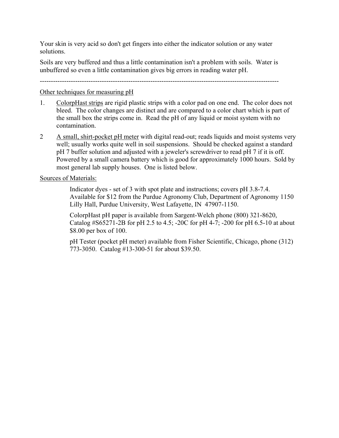Your skin is very acid so don't get fingers into either the indicator solution or any water solutions.

Soils are very buffered and thus a little contamination isn't a problem with soils. Water is unbuffered so even a little contamination gives big errors in reading water pH.

------------------------------------------------------------------------------------------------------------

#### Other techniques for measuring pH

- 1. ColorpHast strips are rigid plastic strips with a color pad on one end. The color does not bleed. The color changes are distinct and are compared to a color chart which is part of the small box the strips come in. Read the pH of any liquid or moist system with no contamination.
- 2 A small, shirt-pocket pH meter with digital read-out; reads liquids and moist systems very well; usually works quite well in soil suspensions. Should be checked against a standard pH 7 buffer solution and adjusted with a jeweler's screwdriver to read pH 7 if it is off. Powered by a small camera battery which is good for approximately 1000 hours. Sold by most general lab supply houses. One is listed below.

#### Sources of Materials:

 Indicator dyes - set of 3 with spot plate and instructions; covers pH 3.8-7.4. Available for \$12 from the Purdue Agronomy Club, Department of Agronomy 1150 Lilly Hall, Purdue University, West Lafayette, IN 47907-1150.

 ColorpHast pH paper is available from Sargent-Welch phone (800) 321-8620, Catalog #S65271-2B for pH 2.5 to 4.5; -20C for pH 4-7; -200 for pH 6.5-10 at about \$8.00 per box of 100.

 pH Tester (pocket pH meter) available from Fisher Scientific, Chicago, phone (312) 773-3050. Catalog #13-300-51 for about \$39.50.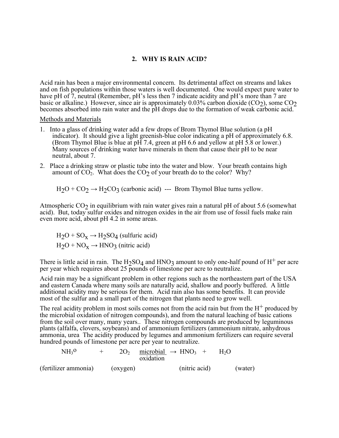## **2. WHY IS RAIN ACID?**

Acid rain has been a major environmental concern. Its detrimental affect on streams and lakes and on fish populations within those waters is well documented. One would expect pure water to have pH of 7, neutral (Remember, pH's less then 7 indicate acidity and pH's more than 7 are basic or alkaline.) However, since air is approximately 0.03% carbon dioxide  $(CO<sub>2</sub>)$ , some  $CO<sub>2</sub>$ becomes absorbed into rain water and the pH drops due to the formation of weak carbonic acid.

Methods and Materials

- 1. Into a glass of drinking water add a few drops of Brom Thymol Blue solution (a pH indicator). It should give a light greenish-blue color indicating a pH of approximately 6.8. (Brom Thymol Blue is blue at pH 7.4, green at pH 6.6 and yellow at pH 5.8 or lower.) Many sources of drinking water have minerals in them that cause their pH to be near neutral, about 7.
- 2. Place a drinking straw or plastic tube into the water and blow. Your breath contains high amount of  $CO<sub>2</sub>$ . What does the  $CO<sub>2</sub>$  of your breath do to the color? Why?

 $H_2O + CO_2 \rightarrow H_2CO_3$  (carbonic acid) --- Brom Thymol Blue turns yellow.

Atmospheric  $CO<sub>2</sub>$  in equilibrium with rain water gives rain a natural pH of about 5.6 (somewhat acid). But, today sulfur oxides and nitrogen oxides in the air from use of fossil fuels make rain even more acid, about pH 4.2 in some areas.

 $H_2O + SO_x \rightarrow H_2SO_4$  (sulfuric acid)  $H_2O + NO_x \rightarrow HNO_3$  (nitric acid)

There is little acid in rain. The  $H_2SO_4$  and  $HNO_3$  amount to only one-half pound of  $H^+$  per acre per year which requires about 25 pounds of limestone per acre to neutralize.

Acid rain may be a significant problem in other regions such as the northeastern part of the USA and eastern Canada where many soils are naturally acid, shallow and poorly buffered. A little additional acidity may be serious for them. Acid rain also has some benefits. It can provide most of the sulfur and a small part of the nitrogen that plants need to grow well.

The real acidity problem in most soils comes not from the acid rain but from the  $H^+$  produced by the microbial oxidation of nitrogen compounds), and from the natural leaching of basic cations from the soil over many, many years.. These nitrogen compounds are produced by leguminous plants (alfalfa, clovers, soybeans) and of ammonium fertilizers (ammonium nitrate, anhydrous ammonia, urea The acidity produced by legumes and ammonium fertilizers can require several hundred pounds of limestone per acre per year to neutralize.

| NH <sub>3</sub> 0    |          | $2O_2$ microbial $\rightarrow$ HNO <sub>3</sub> +<br>oxidation |               | $H_2()$ |         |
|----------------------|----------|----------------------------------------------------------------|---------------|---------|---------|
| (fertilizer ammonia) | (oxygen) |                                                                | (nitric acid) |         | (water) |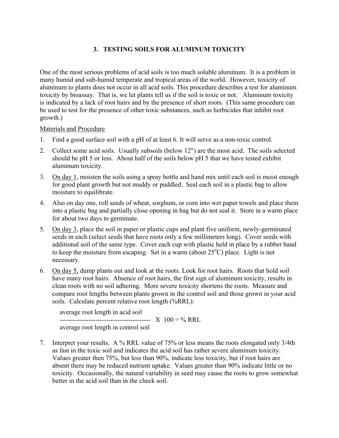# **3. TESTING SOILS FOR ALUMINUM TOXICITY**

One of the most serious problems of acid soils is too much soluble aluminum. It is a problem in many humid and sub-humid temperate and tropical areas of the world. However, toxicity of aluminum to plants does not occur in all acid soils. This procedure describes a test for aluminum toxicity by bioassay. That is, we let plants tell us if the soil is toxic or not. Aluminum toxicity is indicated by a lack of root hairs and by the presence of short roots. (This same procedure can be used to test for the presence of other toxic substances, such as herbicides that inhibit root growth.)

Materials and Procedure

- 1. Find a good surface soil with a pH of at least 6. It will serve as a non-toxic control.
- 2. Collect some acid soils. Usually subsoils (below 12") are the most acid. The soils selected should be pH 5 or less. About half of the soils below pH 5 that we have tested exhibit aluminum toxicity.
- 3. On day 1, moisten the soils using a spray bottle and hand mix until each soil is moist enough for good plant growth but not muddy or puddled. Seal each soil in a plastic bag to allow moisture to equilibrate.
- 4. Also on day one, roll seeds of wheat, sorghum, or corn into wet paper towels and place them into a plastic bag and partially close opening in bag but do not seal it. Store in a warm place for about two days to germinate.
- 5. On day 3, place the soil in paper or plastic cups and plant five uniform, newly-germinated seeds in each (select seeds that have roots only a few millimeters long). Cover seeds with additional soil of the same type. Cover each cup with plastic held in place by a rubber band to keep the moisture from escaping. Set in a warm (about  $25^{\circ}$ C) place. Light is not necessary.
- 6. On day 5, dump plants out and look at the roots. Look for root hairs. Roots that hold soil have many root hairs. Absence of root hairs, the first sign of aluminum toxicity, results in clean roots with no soil adhering. More severe toxicity shortens the roots. Measure and compare root lengths between plants grown in the control soil and those grown in your acid soils. Calculate percent relative root length (%RRL):

average root length in acid soil ----------------------------------------- X 100 = % RRL average root length in control soil

7. Interpret your results. A % RRL value of 75% or less means the roots elongated only 3/4th as fast in the toxic soil and indicates the acid soil has rather severe aluminum toxicity. Values greater then 75%, but less than 90%, indicate less toxicity, but if root hairs are absent there may be reduced nutrient uptake. Values greater than 90% indicate little or no toxicity. Occasionally, the natural variability in seed may cause the roots to grow somewhat better in the acid soil than in the check soil.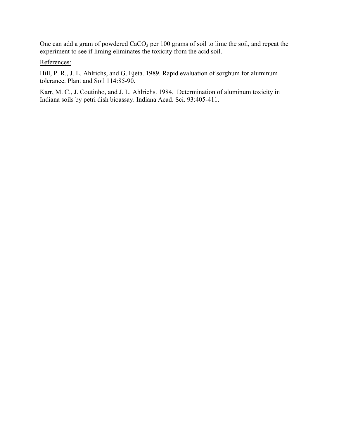One can add a gram of powdered CaCO<sub>3</sub> per 100 grams of soil to lime the soil, and repeat the experiment to see if liming eliminates the toxicity from the acid soil.

References:

Hill, P. R., J. L. Ahlrichs, and G. Ejeta. 1989. Rapid evaluation of sorghum for aluminum tolerance. Plant and Soil 114:85-90.

Karr, M. C., J. Coutinho, and J. L. Ahlrichs. 1984. Determination of aluminum toxicity in Indiana soils by petri dish bioassay. Indiana Acad. Sci. 93:405-411.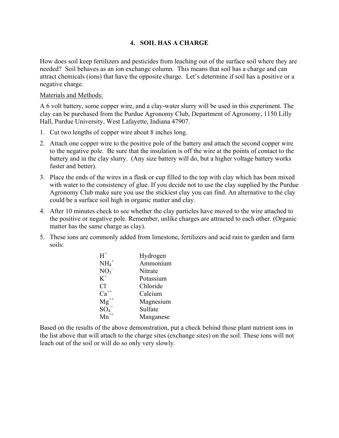# **4. SOIL HAS A CHARGE**

How does soil keep fertilizers and pesticides from leaching out of the surface soil where they are needed? Soil behaves as an ion exchange column. This means that soil has a charge and can attract chemicals (ions) that have the opposite charge. Let's determine if soil has a positive or a negative charge.

## Materials and Methods:

A 6 volt battery, some copper wire, and a clay-water slurry will be used in this experiment. The clay can be purchased from the Purdue Agronomy Club, Department of Agronomy, 1150 Lilly Hall, Purdue University, West Lafayette, Indiana 47907.

- 1. Cut two lengths of copper wire about 8 inches long.
- 2. Attach one copper wire to the positive pole of the battery and attach the second copper wire to the negative pole. Be sure that the insulation is off the wire at the points of contact to the battery and in the clay slurry. (Any size battery will do, but a higher voltage battery works faster and better).
- 3. Place the ends of the wires in a flask or cup filled to the top with clay which has been mixed with water to the consistency of glue. If you decide not to use the clay supplied by the Purdue Agronomy Club make sure you use the stickiest clay you can find. An alternative to the clay could be a surface soil high in organic matter and clay.
- 4. After 10 minutes check to see whether the clay particles have moved to the wire attached to the positive or negative pole. Remember, unlike charges are attracted to each other. (Organic matter has the same charge as clay).
- 5. These ions are commonly added from limestone, fertilizers and acid rain to garden and farm soils:

| $H^+$             | Hydrogen  |
|-------------------|-----------|
| $NH4+$            | Ammonium  |
| NO <sub>3</sub>   | Nitrate   |
| $K^+$             | Potassium |
| $Cl^2$            | Chloride  |
| $\mathrm{Ca}^{+}$ | Calcium   |
| $Mg^{++}$         | Magnesium |
| $\mathrm{SO}_4^-$ | Sulfate   |
|                   | Manganese |
|                   |           |

Based on the results of the above demonstration, put a check behind those plant nutrient ions in the list above that will attach to the charge sites (exchange sites) on the soil. These ions will not leach out of the soil or will do so only very slowly.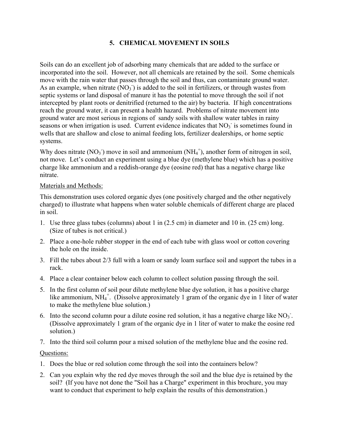# **5. CHEMICAL MOVEMENT IN SOILS**

Soils can do an excellent job of adsorbing many chemicals that are added to the surface or incorporated into the soil. However, not all chemicals are retained by the soil. Some chemicals move with the rain water that passes through the soil and thus, can contaminate ground water. As an example, when nitrate  $(NO_3^-)$  is added to the soil in fertilizers, or through wastes from septic systems or land disposal of manure it has the potential to move through the soil if not intercepted by plant roots or denitrified (returned to the air) by bacteria. If high concentrations reach the ground water, it can present a health hazard. Problems of nitrate movement into ground water are most serious in regions of sandy soils with shallow water tables in rainy seasons or when irrigation is used. Current evidence indicates that  $NO<sub>3</sub>$  is sometimes found in wells that are shallow and close to animal feeding lots, fertilizer dealerships, or home septic systems.

Why does nitrate  $(NO<sub>3</sub>)$  move in soil and ammonium  $(NH<sub>4</sub><sup>+</sup>)$ , another form of nitrogen in soil, not move. Let's conduct an experiment using a blue dye (methylene blue) which has a positive charge like ammonium and a reddish-orange dye (eosine red) that has a negative charge like nitrate.

### Materials and Methods:

This demonstration uses colored organic dyes (one positively charged and the other negatively charged) to illustrate what happens when water soluble chemicals of different charge are placed in soil.

- 1. Use three glass tubes (columns) about 1 in (2.5 cm) in diameter and 10 in. (25 cm) long. (Size of tubes is not critical.)
- 2. Place a one-hole rubber stopper in the end of each tube with glass wool or cotton covering the hole on the inside.
- 3. Fill the tubes about 2/3 full with a loam or sandy loam surface soil and support the tubes in a rack.
- 4. Place a clear container below each column to collect solution passing through the soil.
- 5. In the first column of soil pour dilute methylene blue dye solution, it has a positive charge like ammonium, NH<sub>4</sub><sup>+</sup>. (Dissolve approximately 1 gram of the organic dye in 1 liter of water to make the methylene blue solution.)
- 6. Into the second column pour a dilute eosine red solution, it has a negative charge like  $NO<sub>3</sub>$ . (Dissolve approximately 1 gram of the organic dye in 1 liter of water to make the eosine red solution.)

7. Into the third soil column pour a mixed solution of the methylene blue and the eosine red.

# Questions:

- 1. Does the blue or red solution come through the soil into the containers below?
- 2. Can you explain why the red dye moves through the soil and the blue dye is retained by the soil? (If you have not done the "Soil has a Charge" experiment in this brochure, you may want to conduct that experiment to help explain the results of this demonstration.)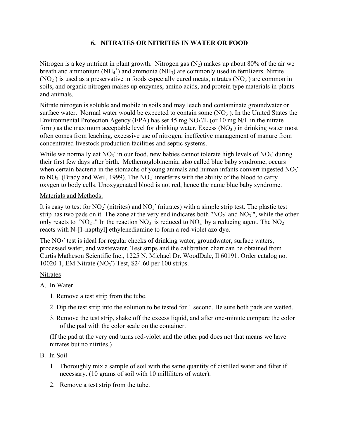# **6. NITRATES OR NITRITES IN WATER OR FOOD**

Nitrogen is a key nutrient in plant growth. Nitrogen gas  $(N_2)$  makes up about 80% of the air we breath and ammonium  $(NH_4^+)$  and ammonia  $(NH_3)$  are commonly used in fertilizers. Nitrite  $(NO<sub>2</sub>)$  is used as a preservative in foods especially cured meats, nitrates  $(NO<sub>3</sub>)$  are common in soils, and organic nitrogen makes up enzymes, amino acids, and protein type materials in plants and animals.

Nitrate nitrogen is soluble and mobile in soils and may leach and contaminate groundwater or surface water. Normal water would be expected to contain some  $(NO<sub>3</sub>)$ . In the United States the Environmental Protection Agency (EPA) has set 45 mg  $NO<sub>3</sub>/L$  (or 10 mg N/L in the nitrate form) as the maximum acceptable level for drinking water. Excess  $(NO<sub>3</sub>)$  in drinking water most often comes from leaching, excessive use of nitrogen, ineffective management of manure from concentrated livestock production facilities and septic systems.

While we normally eat  $NO_3$  in our food, new babies cannot tolerate high levels of  $NO_3$  during their first few days after birth. Methemoglobinemia, also called blue baby syndrome, occurs when certain bacteria in the stomachs of young animals and human infants convert ingested  $NO<sub>3</sub>$ . to  $NO<sub>2</sub>$  (Brady and Weil, 1999). The  $NO<sub>2</sub>$  interferes with the ability of the blood to carry oxygen to body cells. Unoxygenated blood is not red, hence the name blue baby syndrome.

# Materials and Methods:

It is easy to test for  $NO<sub>2</sub><sup>-</sup>$  (nitrites) and  $NO<sub>3</sub><sup>-</sup>$  (nitrates) with a simple strip test. The plastic test strip has two pads on it. The zone at the very end indicates both " $NO<sub>2</sub>$ " and  $NO<sub>3</sub>$ ", while the other only reacts to "NO<sub>2</sub>". In the reaction NO<sub>3</sub> is reduced to NO<sub>2</sub> by a reducing agent. The NO<sub>2</sub> reacts with N-[1-napthyl] ethylenediamine to form a red-violet azo dye.

The NO<sub>3</sub> test is ideal for regular checks of drinking water, groundwater, surface waters, processed water, and wastewater. Test strips and the calibration chart can be obtained from Curtis Matheson Scientific Inc., 1225 N. Michael Dr. WoodDale, Il 60191. Order catalog no. 10020-1, EM Nitrate (NO<sub>3</sub><sup>)</sup> Test, \$24.60 per 100 strips.

# Nitrates

- A. In Water
	- 1. Remove a test strip from the tube.
	- 2. Dip the test strip into the solution to be tested for 1 second. Be sure both pads are wetted.
	- 3. Remove the test strip, shake off the excess liquid, and after one-minute compare the color of the pad with the color scale on the container.

(If the pad at the very end turns red-violet and the other pad does not that means we have nitrates but no nitrites.)

- B. In Soil
	- 1. Thoroughly mix a sample of soil with the same quantity of distilled water and filter if necessary. (10 grams of soil with 10 milliliters of water).
	- 2. Remove a test strip from the tube.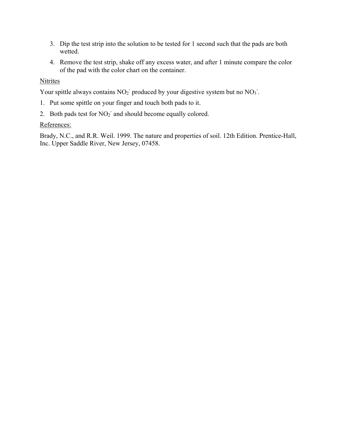- 3. Dip the test strip into the solution to be tested for 1 second such that the pads are both wetted.
- 4. Remove the test strip, shake off any excess water, and after 1 minute compare the color of the pad with the color chart on the container.

# Nitrites

Your spittle always contains  $NO<sub>2</sub>$  produced by your digestive system but no  $NO<sub>3</sub>$ .

- 1. Put some spittle on your finger and touch both pads to it.
- 2. Both pads test for  $NO<sub>2</sub>$  and should become equally colored.

# References:

Brady, N.C., and R.R. Weil. 1999. The nature and properties of soil. 12th Edition. Prentice-Hall, Inc. Upper Saddle River, New Jersey, 07458.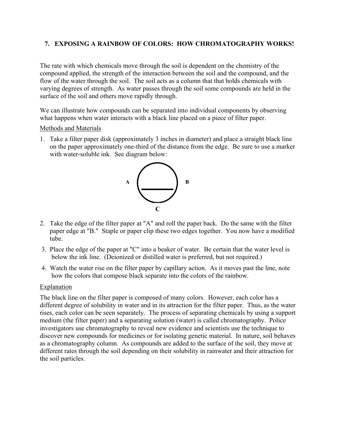# **7. EXPOSING A RAINBOW OF COLORS: HOW CHROMATOGRAPHY WORKS!**

The rate with which chemicals move through the soil is dependent on the chemistry of the compound applied, the strength of the interaction between the soil and the compound, and the flow of the water through the soil. The soil acts as a column that that holds chemicals with varying degrees of strength. As water passes through the soil some compounds are held in the surface of the soil and others move rapidly through.

We can illustrate how compounds can be separated into individual components by observing what happens when water interacts with a black line placed on a piece of filter paper.

#### Methods and Materials

1. Take a filter paper disk (approximately 3 inches in diameter) and place a straight black line on the paper approximately one-third of the distance from the edge. Be sure to use a marker with water-soluble ink. See diagram below:



- 2. Take the edge of the filter paper at "A" and roll the paper back. Do the same with the filter paper edge at "B." Staple or paper clip these two edges together. You now have a modified tube.
- 3. Place the edge of the paper at "C" into a beaker of water. Be certain that the water level is below the ink line. (Deionized or distilled water is preferred, but not required.)
- 4. Watch the water rise on the filter paper by capillary action. As it moves past the line, note how the colors that compose black separate into the colors of the rainbow.

### Explanation

The black line on the filter paper is composed of many colors. However, each color has a different degree of solubility in water and in its attraction for the filter paper. Thus, as the water rises, each color can be seen separately. The process of separating chemicals by using a support medium (the filter paper) and a separating solution (water) is called chromatography. Police investigators use chromatography to reveal new evidence and scientists use the technique to discover new compounds for medicines or for isolating genetic material. In nature, soil behaves as a chromatography column. As compounds are added to the surface of the soil, they move at different rates through the soil depending on their solubility in rainwater and their attraction for the soil particles.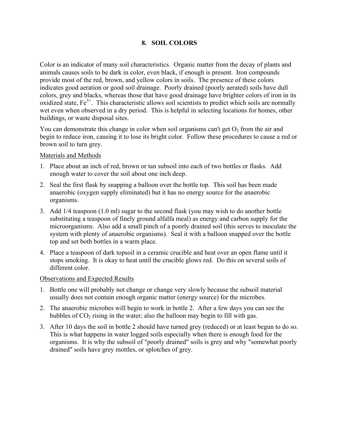# **8. SOIL COLORS**

Color is an indicator of many soil characteristics. Organic matter from the decay of plants and animals causes soils to be dark in color, even black, if enough is present. Iron compounds provide most of the red, brown, and yellow colors in soils. The presence of these colors indicates good aeration or good soil drainage. Poorly drained (poorly aerated) soils have dull colors, grey and blacks, whereas those that have good drainage have brighter colors of iron in its oxidized state, Fe<sup>3+</sup>. This characteristic allows soil scientists to predict which soils are normally wet even when observed in a dry period. This is helpful in selecting locations for homes, other buildings, or waste disposal sites.

You can demonstrate this change in color when soil organisms can't get  $O<sub>2</sub>$  from the air and begin to reduce iron, causing it to lose its bright color. Follow these procedures to cause a red or brown soil to turn grey.

## Materials and Methods

- 1. Place about an inch of red, brown or tan subsoil into each of two bottles or flasks. Add enough water to cover the soil about one inch deep.
- 2. Seal the first flask by snapping a balloon over the bottle top. This soil has been made anaerobic (oxygen supply eliminated) but it has no energy source for the anaerobic organisms.
- 3. Add 1/4 teaspoon (1.0 ml) sugar to the second flask (you may wish to do another bottle substituting a teaspoon of finely ground alfalfa meal) as energy and carbon supply for the microorganisms. Also add a small pinch of a poorly drained soil (this serves to inoculate the system with plenty of anaerobic organisms). Seal it with a balloon snapped over the bottle top and set both bottles in a warm place.
- 4. Place a teaspoon of dark topsoil in a ceramic crucible and heat over an open flame until it stops smoking. It is okay to heat until the crucible glows red. Do this on several soils of different color.

# Observations and Expected Results

- 1. Bottle one will probably not change or change very slowly because the subsoil material usually does not contain enough organic matter (energy source) for the microbes.
- 2. The anaerobic microbes will begin to work in bottle 2. After a few days you can see the bubbles of  $CO<sub>2</sub>$  rising in the water; also the balloon may begin to fill with gas.
- 3. After 10 days the soil in bottle 2 should have turned grey (reduced) or at least begun to do so. This is what happens in water logged soils especially when there is enough food for the organisms. It is why the subsoil of "poorly drained" soils is grey and why "somewhat poorly drained" soils have grey mottles, or splotches of grey.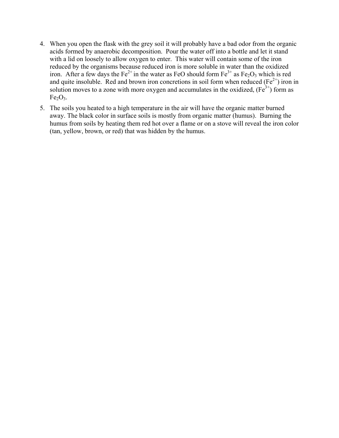- 4. When you open the flask with the grey soil it will probably have a bad odor from the organic acids formed by anaerobic decomposition. Pour the water off into a bottle and let it stand with a lid on loosely to allow oxygen to enter. This water will contain some of the iron reduced by the organisms because reduced iron is more soluble in water than the oxidized iron. After a few days the Fe<sup>2+</sup> in the water as FeO should form  $Fe^{3+}$  as Fe<sub>2</sub>O<sub>3</sub> which is red and quite insoluble. Red and brown iron concretions in soil form when reduced  $(Fe^{2+})$  iron in solution moves to a zone with more oxygen and accumulates in the oxidized,  $(Fe<sup>3+</sup>)$  form as  $Fe<sub>2</sub>O<sub>3</sub>$ .
- 5. The soils you heated to a high temperature in the air will have the organic matter burned away. The black color in surface soils is mostly from organic matter (humus). Burning the humus from soils by heating them red hot over a flame or on a stove will reveal the iron color (tan, yellow, brown, or red) that was hidden by the humus.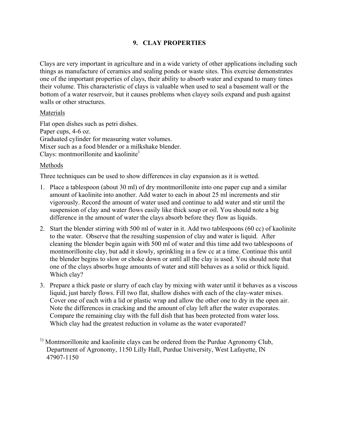# **9. CLAY PROPERTIES**

Clays are very important in agriculture and in a wide variety of other applications including such things as manufacture of ceramics and sealing ponds or waste sites. This exercise demonstrates one of the important properties of clays, their ability to absorb water and expand to many times their volume. This characteristic of clays is valuable when used to seal a basement wall or the bottom of a water reservoir, but it causes problems when clayey soils expand and push against walls or other structures.

## Materials

Flat open dishes such as petri dishes. Paper cups, 4-6 oz. Graduated cylinder for measuring water volumes. Mixer such as a food blender or a milkshake blender. Clays: montmorillonite and kaolinite $<sup>1</sup>$ </sup>

# Methods

Three techniques can be used to show differences in clay expansion as it is wetted.

- 1. Place a tablespoon (about 30 ml) of dry montmorillonite into one paper cup and a similar amount of kaolinite into another. Add water to each in about 25 ml increments and stir vigorously. Record the amount of water used and continue to add water and stir until the suspension of clay and water flows easily like thick soup or oil. You should note a big difference in the amount of water the clays absorb before they flow as liquids.
- 2. Start the blender stirring with 500 ml of water in it. Add two tablespoons (60 cc) of kaolinite to the water. Observe that the resulting suspension of clay and water is liquid. After cleaning the blender begin again with 500 ml of water and this time add two tablespoons of montmorillonite clay, but add it slowly, sprinkling in a few cc at a time. Continue this until the blender begins to slow or choke down or until all the clay is used. You should note that one of the clays absorbs huge amounts of water and still behaves as a solid or thick liquid. Which clay?
- 3. Prepare a thick paste or slurry of each clay by mixing with water until it behaves as a viscous liquid, just barely flows. Fill two flat, shallow dishes with each of the clay-water mixes. Cover one of each with a lid or plastic wrap and allow the other one to dry in the open air. Note the differences in cracking and the amount of clay left after the water evaporates. Compare the remaining clay with the full dish that has been protected from water loss. Which clay had the greatest reduction in volume as the water evaporated?
- <sup>1)</sup> Montmorillonite and kaolinite clays can be ordered from the Purdue Agronomy Club, Department of Agronomy, 1150 Lilly Hall, Purdue University, West Lafayette, IN 47907-1150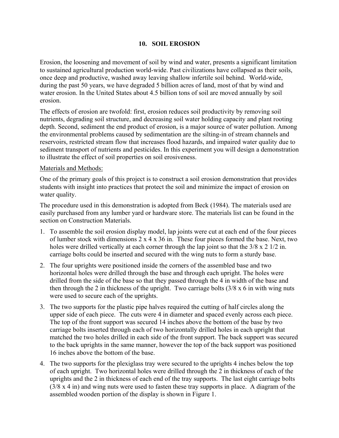# **10. SOIL EROSION**

Erosion, the loosening and movement of soil by wind and water, presents a significant limitation to sustained agricultural production world-wide. Past civilizations have collapsed as their soils, once deep and productive, washed away leaving shallow infertile soil behind. World-wide, during the past 50 years, we have degraded 5 billion acres of land, most of that by wind and water erosion. In the United States about 4.5 billion tons of soil are moved annually by soil erosion.

The effects of erosion are twofold: first, erosion reduces soil productivity by removing soil nutrients, degrading soil structure, and decreasing soil water holding capacity and plant rooting depth. Second, sediment the end product of erosion, is a major source of water pollution. Among the environmental problems caused by sedimentation are the silting-in of stream channels and reservoirs, restricted stream flow that increases flood hazards, and impaired water quality due to sediment transport of nutrients and pesticides. In this experiment you will design a demonstration to illustrate the effect of soil properties on soil erosiveness.

### Materials and Methods:

One of the primary goals of this project is to construct a soil erosion demonstration that provides students with insight into practices that protect the soil and minimize the impact of erosion on water quality.

The procedure used in this demonstration is adopted from Beck (1984). The materials used are easily purchased from any lumber yard or hardware store. The materials list can be found in the section on Construction Materials.

- 1. To assemble the soil erosion display model, lap joints were cut at each end of the four pieces of lumber stock with dimensions  $2 \times 4 \times 36$  in. These four pieces formed the base. Next, two holes were drilled vertically at each corner through the lap joint so that the  $3/8 \times 2 \frac{1}{2}$  in. carriage bolts could be inserted and secured with the wing nuts to form a sturdy base.
- 2. The four uprights were positioned inside the corners of the assembled base and two horizontal holes were drilled through the base and through each upright. The holes were drilled from the side of the base so that they passed through the 4 in width of the base and then through the 2 in thickness of the upright. Two carriage bolts (3/8 x 6 in with wing nuts were used to secure each of the uprights.
- 3. The two supports for the plastic pipe halves required the cutting of half circles along the upper side of each piece. The cuts were 4 in diameter and spaced evenly across each piece. The top of the front support was secured 14 inches above the bottom of the base by two carriage bolts inserted through each of two horizontally drilled holes in each upright that matched the two holes drilled in each side of the front support. The back support was secured to the back uprights in the same manner, however the top of the back support was positioned 16 inches above the bottom of the base.
- 4. The two supports for the plexiglass tray were secured to the uprights 4 inches below the top of each upright. Two horizontal holes were drilled through the 2 in thickness of each of the uprights and the 2 in thickness of each end of the tray supports. The last eight carriage bolts  $(3/8 \times 4)$  in) and wing nuts were used to fasten these tray supports in place. A diagram of the assembled wooden portion of the display is shown in Figure 1.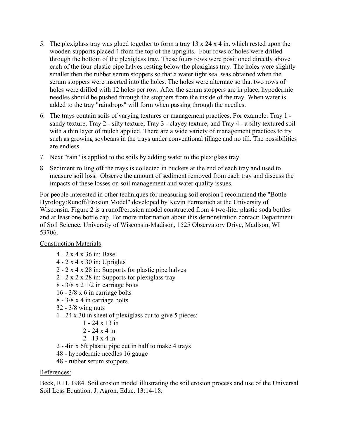- 5. The plexiglass tray was glued together to form a tray  $13 \times 24 \times 4$  in. which rested upon the wooden supports placed 4 from the top of the uprights. Four rows of holes were drilled through the bottom of the plexiglass tray. These fours rows were positioned directly above each of the four plastic pipe halves resting below the plexiglass tray. The holes were slightly smaller then the rubber serum stoppers so that a water tight seal was obtained when the serum stoppers were inserted into the holes. The holes were alternate so that two rows of holes were drilled with 12 holes per row. After the serum stoppers are in place, hypodermic needles should be pushed through the stoppers from the inside of the tray. When water is added to the tray "raindrops" will form when passing through the needles.
- 6. The trays contain soils of varying textures or management practices. For example: Tray 1 sandy texture, Tray 2 - silty texture, Tray 3 - clayey texture, and Tray 4 - a silty textured soil with a thin layer of mulch applied. There are a wide variety of management practices to try such as growing soybeans in the trays under conventional tillage and no till. The possibilities are endless.
- 7. Next "rain" is applied to the soils by adding water to the plexiglass tray.
- 8. Sediment rolling off the trays is collected in buckets at the end of each tray and used to measure soil loss. Observe the amount of sediment removed from each tray and discuss the impacts of these losses on soil management and water quality issues.

For people interested in other techniques for measuring soil erosion I recommend the "Bottle Hyrology:Runoff/Erosion Model" developed by Kevin Fermanich at the University of Wisconsin. Figure 2 is a runoff/erosion model constructed from 4 two-liter plastic soda bottles and at least one bottle cap. For more information about this demonstration contact: Department of Soil Science, University of Wisconsin-Madison, 1525 Observatory Drive, Madison, WI 53706.

# Construction Materials

- 4 2 x 4 x 36 in: Base
- 4 2 x 4 x 30 in: Uprights
- 2 2 x 4 x 28 in: Supports for plastic pipe halves
- 2 2 x 2 x 28 in: Supports for plexiglass tray
- 8 3/8 x 2 1/2 in carriage bolts
- 16 3/8 x 6 in carriage bolts
- 8 3/8 x 4 in carriage bolts
- 32 3/8 wing nuts
- 1 24 x 30 in sheet of plexiglass cut to give 5 pieces:
	- 1 24 x 13 in
	- 2 24 x 4 in
	- 2 13 x 4 in
- 2 4in x 6ft plastic pipe cut in half to make 4 trays
- 48 hypodermic needles 16 gauge
- 48 rubber serum stoppers

# References:

Beck, R.H. 1984. Soil erosion model illustrating the soil erosion process and use of the Universal Soil Loss Equation. J. Agron. Educ. 13:14-18.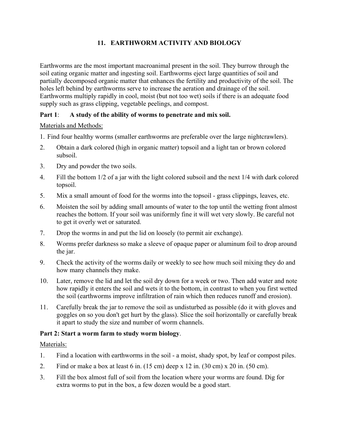# **11. EARTHWORM ACTIVITY AND BIOLOGY**

Earthworms are the most important macroanimal present in the soil. They burrow through the soil eating organic matter and ingesting soil. Earthworms eject large quantities of soil and partially decomposed organic matter that enhances the fertility and productivity of the soil. The holes left behind by earthworms serve to increase the aeration and drainage of the soil. Earthworms multiply rapidly in cool, moist (but not too wet) soils if there is an adequate food supply such as grass clipping, vegetable peelings, and compost.

# **Part 1**: **A study of the ability of worms to penetrate and mix soil.**

# Materials and Methods:

- 1. Find four healthy worms (smaller earthworms are preferable over the large nightcrawlers).
- 2. Obtain a dark colored (high in organic matter) topsoil and a light tan or brown colored subsoil.
- 3. Dry and powder the two soils.
- 4. Fill the bottom 1/2 of a jar with the light colored subsoil and the next 1/4 with dark colored topsoil.
- 5. Mix a small amount of food for the worms into the topsoil grass clippings, leaves, etc.
- 6. Moisten the soil by adding small amounts of water to the top until the wetting front almost reaches the bottom. If your soil was uniformly fine it will wet very slowly. Be careful not to get it overly wet or saturated.
- 7. Drop the worms in and put the lid on loosely (to permit air exchange).
- 8. Worms prefer darkness so make a sleeve of opaque paper or aluminum foil to drop around the jar.
- 9. Check the activity of the worms daily or weekly to see how much soil mixing they do and how many channels they make.
- 10. Later, remove the lid and let the soil dry down for a week or two. Then add water and note how rapidly it enters the soil and wets it to the bottom, in contrast to when you first wetted the soil (earthworms improve infiltration of rain which then reduces runoff and erosion).
- 11. Carefully break the jar to remove the soil as undisturbed as possible (do it with gloves and goggles on so you don't get hurt by the glass). Slice the soil horizontally or carefully break it apart to study the size and number of worm channels.

# **Part 2: Start a worm farm to study worm biology**.

# Materials:

- 1. Find a location with earthworms in the soil a moist, shady spot, by leaf or compost piles.
- 2. Find or make a box at least 6 in. (15 cm) deep x 12 in. (30 cm) x 20 in. (50 cm).
- 3. Fill the box almost full of soil from the location where your worms are found. Dig for extra worms to put in the box, a few dozen would be a good start.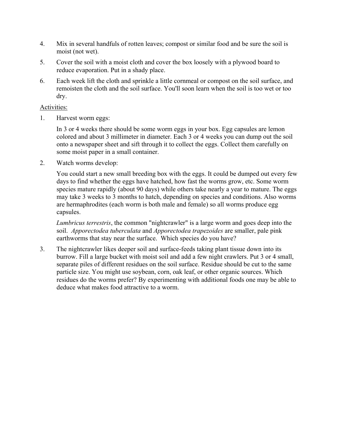- 4. Mix in several handfuls of rotten leaves; compost or similar food and be sure the soil is moist (not wet).
- 5. Cover the soil with a moist cloth and cover the box loosely with a plywood board to reduce evaporation. Put in a shady place.
- 6. Each week lift the cloth and sprinkle a little cornmeal or compost on the soil surface, and remoisten the cloth and the soil surface. You'll soon learn when the soil is too wet or too dry.

## Activities:

1. Harvest worm eggs:

 In 3 or 4 weeks there should be some worm eggs in your box. Egg capsules are lemon colored and about 3 millimeter in diameter. Each 3 or 4 weeks you can dump out the soil onto a newspaper sheet and sift through it to collect the eggs. Collect them carefully on some moist paper in a small container.

2. Watch worms develop:

 You could start a new small breeding box with the eggs. It could be dumped out every few days to find whether the eggs have hatched, how fast the worms grow, etc. Some worm species mature rapidly (about 90 days) while others take nearly a year to mature. The eggs may take 3 weeks to 3 months to hatch, depending on species and conditions. Also worms are hermaphrodites (each worm is both male and female) so all worms produce egg capsules.

*Lumbricus terrestris*, the common "nightcrawler" is a large worm and goes deep into the soil. *Apporectodea tuberculata* and *Apporectodea trapezoides* are smaller, pale pink earthworms that stay near the surface. Which species do you have?

3. The nightcrawler likes deeper soil and surface-feeds taking plant tissue down into its burrow. Fill a large bucket with moist soil and add a few night crawlers. Put 3 or 4 small, separate piles of different residues on the soil surface. Residue should be cut to the same particle size. You might use soybean, corn, oak leaf, or other organic sources. Which residues do the worms prefer? By experimenting with additional foods one may be able to deduce what makes food attractive to a worm.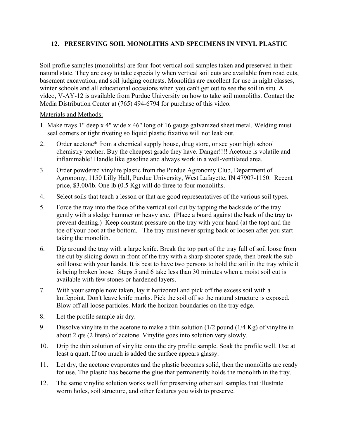# **12. PRESERVING SOIL MONOLITHS AND SPECIMENS IN VINYL PLASTIC**

Soil profile samples (monoliths) are four-foot vertical soil samples taken and preserved in their natural state. They are easy to take especially when vertical soil cuts are available from road cuts, basement excavation, and soil judging contests. Monoliths are excellent for use in night classes, winter schools and all educational occasions when you can't get out to see the soil in situ. A video, V-AY-12 is available from Purdue University on how to take soil monoliths. Contact the Media Distribution Center at (765) 494-6794 for purchase of this video.

Materials and Methods:

- 1. Make trays 1" deep x 4" wide x 46" long of 16 gauge galvanized sheet metal. Welding must seal corners or tight riveting so liquid plastic fixative will not leak out.
- 2. Order acetone\* from a chemical supply house, drug store, or see your high school chemistry teacher. Buy the cheapest grade they have. Danger!!!! Acetone is volatile and inflammable! Handle like gasoline and always work in a well-ventilated area.
- 3. Order powdered vinylite plastic from the Purdue Agronomy Club, Department of Agronomy, 1150 Lilly Hall, Purdue University, West Lafayette, IN 47907-1150. Recent price, \$3.00/lb. One lb (0.5 Kg) will do three to four monoliths.
- 4. Select soils that teach a lesson or that are good representatives of the various soil types.
- 5. Force the tray into the face of the vertical soil cut by tapping the backside of the tray gently with a sledge hammer or heavy axe. (Place a board against the back of the tray to prevent denting.) Keep constant pressure on the tray with your hand (at the top) and the toe of your boot at the bottom. The tray must never spring back or loosen after you start taking the monolith.
- 6. Dig around the tray with a large knife. Break the top part of the tray full of soil loose from the cut by slicing down in front of the tray with a sharp shooter spade, then break the subsoil loose with your hands. It is best to have two persons to hold the soil in the tray while it is being broken loose. Steps 5 and 6 take less than 30 minutes when a moist soil cut is available with few stones or hardened layers.
- 7. With your sample now taken, lay it horizontal and pick off the excess soil with a knifepoint. Don't leave knife marks. Pick the soil off so the natural structure is exposed. Blow off all loose particles. Mark the horizon boundaries on the tray edge.
- 8. Let the profile sample air dry.
- 9. Dissolve vinylite in the acetone to make a thin solution (1/2 pound (1/4 Kg) of vinylite in about 2 qts (2 liters) of acetone. Vinylite goes into solution very slowly.
- 10. Drip the thin solution of vinylite onto the dry profile sample. Soak the profile well. Use at least a quart. If too much is added the surface appears glassy.
- 11. Let dry, the acetone evaporates and the plastic becomes solid, then the monoliths are ready for use. The plastic has become the glue that permanently holds the monolith in the tray.
- 12. The same vinylite solution works well for preserving other soil samples that illustrate worm holes, soil structure, and other features you wish to preserve.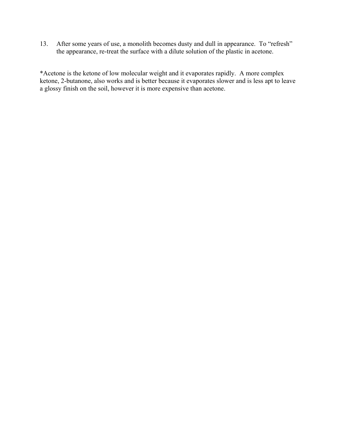13. After some years of use, a monolith becomes dusty and dull in appearance. To "refresh" the appearance, re-treat the surface with a dilute solution of the plastic in acetone.

\*Acetone is the ketone of low molecular weight and it evaporates rapidly. A more complex ketone, 2-butanone, also works and is better because it evaporates slower and is less apt to leave a glossy finish on the soil, however it is more expensive than acetone.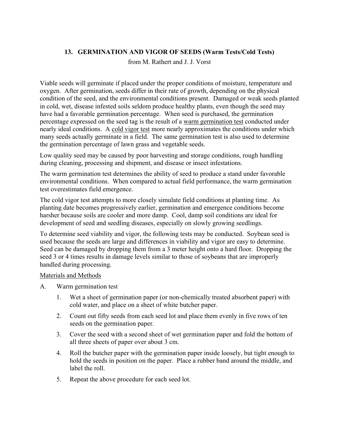# **13. GERMINATION AND VIGOR OF SEEDS (Warm Tests/Cold Tests)**

from M. Rathert and J. J. Vorst

Viable seeds will germinate if placed under the proper conditions of moisture, temperature and oxygen. After germination, seeds differ in their rate of growth, depending on the physical condition of the seed, and the environmental conditions present. Damaged or weak seeds planted in cold, wet, disease infested soils seldom produce healthy plants, even though the seed may have had a favorable germination percentage. When seed is purchased, the germination percentage expressed on the seed tag is the result of a warm germination test conducted under nearly ideal conditions. A cold vigor test more nearly approximates the conditions under which many seeds actually germinate in a field. The same germination test is also used to determine the germination percentage of lawn grass and vegetable seeds.

Low quality seed may be caused by poor harvesting and storage conditions, rough handling during cleaning, processing and shipment, and disease or insect infestations.

The warm germination test determines the ability of seed to produce a stand under favorable environmental conditions. When compared to actual field performance, the warm germination test overestimates field emergence.

The cold vigor test attempts to more closely simulate field conditions at planting time. As planting date becomes progressively earlier, germination and emergence conditions become harsher because soils are cooler and more damp. Cool, damp soil conditions are ideal for development of seed and seedling diseases, especially on slowly growing seedlings.

To determine seed viability and vigor, the following tests may be conducted. Soybean seed is used because the seeds are large and differences in viability and vigor are easy to determine. Seed can be damaged by dropping them from a 3 meter height onto a hard floor. Dropping the seed 3 or 4 times results in damage levels similar to those of soybeans that are improperly handled during processing.

### Materials and Methods

- A. Warm germination test
	- 1. Wet a sheet of germination paper (or non-chemically treated absorbent paper) with cold water, and place on a sheet of white butcher paper.
	- 2. Count out fifty seeds from each seed lot and place them evenly in five rows of ten seeds on the germination paper.
	- 3. Cover the seed with a second sheet of wet germination paper and fold the bottom of all three sheets of paper over about 3 cm.
	- 4. Roll the butcher paper with the germination paper inside loosely, but tight enough to hold the seeds in position on the paper. Place a rubber band around the middle, and label the roll.
	- 5. Repeat the above procedure for each seed lot.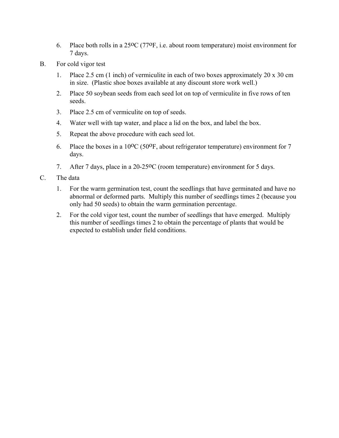- 6. Place both rolls in a 25oC (77oF, i.e. about room temperature) moist environment for 7 days.
- B. For cold vigor test
	- 1. Place 2.5 cm (1 inch) of vermiculite in each of two boxes approximately 20 x 30 cm in size. (Plastic shoe boxes available at any discount store work well.)
	- 2. Place 50 soybean seeds from each seed lot on top of vermiculite in five rows of ten seeds.
	- 3. Place 2.5 cm of vermiculite on top of seeds.
	- 4. Water well with tap water, and place a lid on the box, and label the box.
	- 5. Repeat the above procedure with each seed lot.
	- 6. Place the boxes in a 10oC (50oF, about refrigerator temperature) environment for 7 days.
	- 7. After 7 days, place in a 20-25<sup>o</sup>C (room temperature) environment for 5 days.
- C. The data
	- 1. For the warm germination test, count the seedlings that have germinated and have no abnormal or deformed parts. Multiply this number of seedlings times 2 (because you only had 50 seeds) to obtain the warm germination percentage.
	- 2. For the cold vigor test, count the number of seedlings that have emerged. Multiply this number of seedlings times 2 to obtain the percentage of plants that would be expected to establish under field conditions.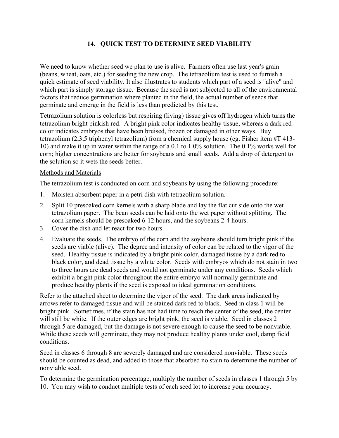# **14. QUICK TEST TO DETERMINE SEED VIABILITY**

We need to know whether seed we plan to use is alive. Farmers often use last year's grain (beans, wheat, oats, etc.) for seeding the new crop. The tetrazolium test is used to furnish a quick estimate of seed viability. It also illustrates to students which part of a seed is "alive" and which part is simply storage tissue. Because the seed is not subjected to all of the environmental factors that reduce germination where planted in the field, the actual number of seeds that germinate and emerge in the field is less than predicted by this test.

Tetrazolium solution is colorless but respiring (living) tissue gives off hydrogen which turns the tetrazolium bright pinkish red. A bright pink color indicates healthy tissue, whereas a dark red color indicates embryos that have been bruised, frozen or damaged in other ways. Buy tetrazolium (2,3,5 triphenyl tetrazolium) from a chemical supply house (eg. Fisher item #T 413- 10) and make it up in water within the range of a 0.1 to 1.0% solution. The 0.1% works well for corn; higher concentrations are better for soybeans and small seeds. Add a drop of detergent to the solution so it wets the seeds better.

## Methods and Materials

The tetrazolium test is conducted on corn and soybeans by using the following procedure:

- 1. Moisten absorbent paper in a petri dish with tetrazolium solution.
- 2. Split 10 presoaked corn kernels with a sharp blade and lay the flat cut side onto the wet tetrazolium paper. The bean seeds can be laid onto the wet paper without splitting. The corn kernels should be presoaked 6-12 hours, and the soybeans 2-4 hours.
- 3. Cover the dish and let react for two hours.
- 4. Evaluate the seeds. The embryo of the corn and the soybeans should turn bright pink if the seeds are viable (alive). The degree and intensity of color can be related to the vigor of the seed. Healthy tissue is indicated by a bright pink color, damaged tissue by a dark red to black color, and dead tissue by a white color. Seeds with embryos which do not stain in two to three hours are dead seeds and would not germinate under any conditions. Seeds which exhibit a bright pink color throughout the entire embryo will normally germinate and produce healthy plants if the seed is exposed to ideal germination conditions.

Refer to the attached sheet to determine the vigor of the seed. The dark areas indicated by arrows refer to damaged tissue and will be stained dark red to black. Seed in class 1 will be bright pink. Sometimes, if the stain has not had time to reach the center of the seed, the center will still be white. If the outer edges are bright pink, the seed is viable. Seed in classes 2 through 5 are damaged, but the damage is not severe enough to cause the seed to be nonviable. While these seeds will germinate, they may not produce healthy plants under cool, damp field conditions.

Seed in classes 6 through 8 are severely damaged and are considered nonviable. These seeds should be counted as dead, and added to those that absorbed no stain to determine the number of nonviable seed.

To determine the germination percentage, multiply the number of seeds in classes 1 through 5 by 10. You may wish to conduct multiple tests of each seed lot to increase your accuracy.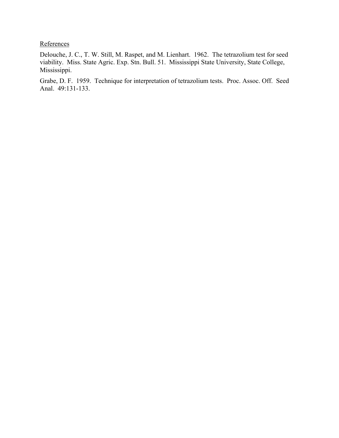**References** 

Delouche, J. C., T. W. Still, M. Raspet, and M. Lienhart. 1962. The tetrazolium test for seed viability. Miss. State Agric. Exp. Stn. Bull. 51. Mississippi State University, State College, Mississippi.

Grabe, D. F. 1959. Technique for interpretation of tetrazolium tests. Proc. Assoc. Off. Seed Anal. 49:131-133.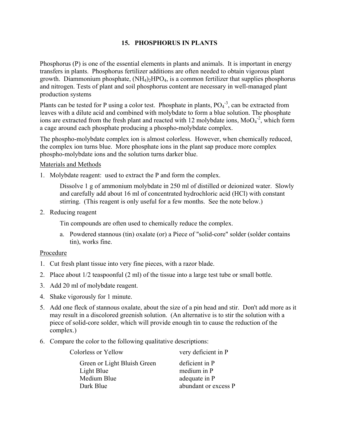# **15. PHOSPHORUS IN PLANTS**

Phosphorus (P) is one of the essential elements in plants and animals. It is important in energy transfers in plants. Phosphorus fertilizer additions are often needed to obtain vigorous plant growth. Diammonium phosphate, (NH4)2HPO4, is a common fertilizer that supplies phosphorus and nitrogen. Tests of plant and soil phosphorus content are necessary in well-managed plant production systems

Plants can be tested for P using a color test. Phosphate in plants,  $PO<sub>4</sub><sup>-3</sup>$ , can be extracted from leaves with a dilute acid and combined with molybdate to form a blue solution. The phosphate ions are extracted from the fresh plant and reacted with 12 molybdate ions,  $MoO<sub>4</sub><sup>-2</sup>$ , which form a cage around each phosphate producing a phospho-molybdate complex.

The phospho-molybdate complex ion is almost colorless. However, when chemically reduced, the complex ion turns blue. More phosphate ions in the plant sap produce more complex phospho-molybdate ions and the solution turns darker blue.

### Materials and Methods

1. Molybdate reagent: used to extract the P and form the complex.

Dissolve 1 g of ammonium molybdate in 250 ml of distilled or deionized water. Slowly and carefully add about 16 ml of concentrated hydrochloric acid (HCl) with constant stirring. (This reagent is only useful for a few months. See the note below.)

2. Reducing reagent

Tin compounds are often used to chemically reduce the complex.

a. Powdered stannous (tin) oxalate (or) a Piece of "solid-core" solder (solder contains tin), works fine.

### Procedure

- 1. Cut fresh plant tissue into very fine pieces, with a razor blade.
- 2. Place about 1/2 teaspoonful (2 ml) of the tissue into a large test tube or small bottle.
- 3. Add 20 ml of molybdate reagent.
- 4. Shake vigorously for 1 minute.
- 5. Add one fleck of stannous oxalate, about the size of a pin head and stir. Don't add more as it may result in a discolored greenish solution. (An alternative is to stir the solution with a piece of solid-core solder, which will provide enough tin to cause the reduction of the complex.)
- 6. Compare the color to the following qualitative descriptions:

| very deficient in P  |  |  |
|----------------------|--|--|
| deficient in P       |  |  |
| medium in P          |  |  |
| adequate in P        |  |  |
| abundant or excess P |  |  |
|                      |  |  |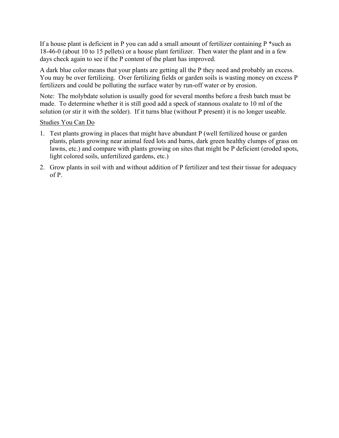If a house plant is deficient in P you can add a small amount of fertilizer containing  $P^*$  such as 18-46-0 (about 10 to 15 pellets) or a house plant fertilizer. Then water the plant and in a few days check again to see if the P content of the plant has improved.

A dark blue color means that your plants are getting all the P they need and probably an excess. You may be over fertilizing. Over fertilizing fields or garden soils is wasting money on excess P fertilizers and could be polluting the surface water by run-off water or by erosion.

Note: The molybdate solution is usually good for several months before a fresh batch must be made. To determine whether it is still good add a speck of stannous oxalate to 10 ml of the solution (or stir it with the solder). If it turns blue (without P present) it is no longer useable.

### Studies You Can Do

- 1. Test plants growing in places that might have abundant P (well fertilized house or garden plants, plants growing near animal feed lots and barns, dark green healthy clumps of grass on lawns, etc.) and compare with plants growing on sites that might be P deficient (eroded spots, light colored soils, unfertilized gardens, etc.)
- 2. Grow plants in soil with and without addition of P fertilizer and test their tissue for adequacy of P.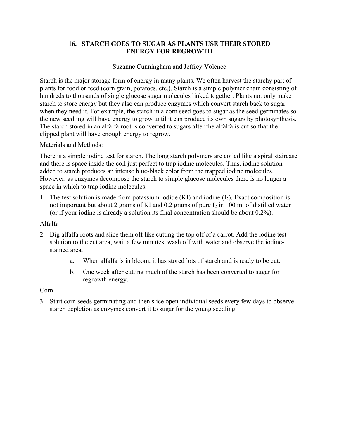# **16. STARCH GOES TO SUGAR AS PLANTS USE THEIR STORED ENERGY FOR REGROWTH**

# Suzanne Cunningham and Jeffrey Volenec

Starch is the major storage form of energy in many plants. We often harvest the starchy part of plants for food or feed (corn grain, potatoes, etc.). Starch is a simple polymer chain consisting of hundreds to thousands of single glucose sugar molecules linked together. Plants not only make starch to store energy but they also can produce enzymes which convert starch back to sugar when they need it. For example, the starch in a corn seed goes to sugar as the seed germinates so the new seedling will have energy to grow until it can produce its own sugars by photosynthesis. The starch stored in an alfalfa root is converted to sugars after the alfalfa is cut so that the clipped plant will have enough energy to regrow.

# Materials and Methods:

There is a simple iodine test for starch. The long starch polymers are coiled like a spiral staircase and there is space inside the coil just perfect to trap iodine molecules. Thus, iodine solution added to starch produces an intense blue-black color from the trapped iodine molecules. However, as enzymes decompose the starch to simple glucose molecules there is no longer a space in which to trap iodine molecules.

1. The test solution is made from potassium iodide (KI) and iodine  $(I_2)$ . Exact composition is not important but about 2 grams of KI and 0.2 grams of pure  $I_2$  in 100 ml of distilled water (or if your iodine is already a solution its final concentration should be about 0.2%).

# Alfalfa

- 2. Dig alfalfa roots and slice them off like cutting the top off of a carrot. Add the iodine test solution to the cut area, wait a few minutes, wash off with water and observe the iodinestained area.
	- a. When alfalfa is in bloom, it has stored lots of starch and is ready to be cut.
	- b. One week after cutting much of the starch has been converted to sugar for regrowth energy.

# Corn

3. Start corn seeds germinating and then slice open individual seeds every few days to observe starch depletion as enzymes convert it to sugar for the young seedling.